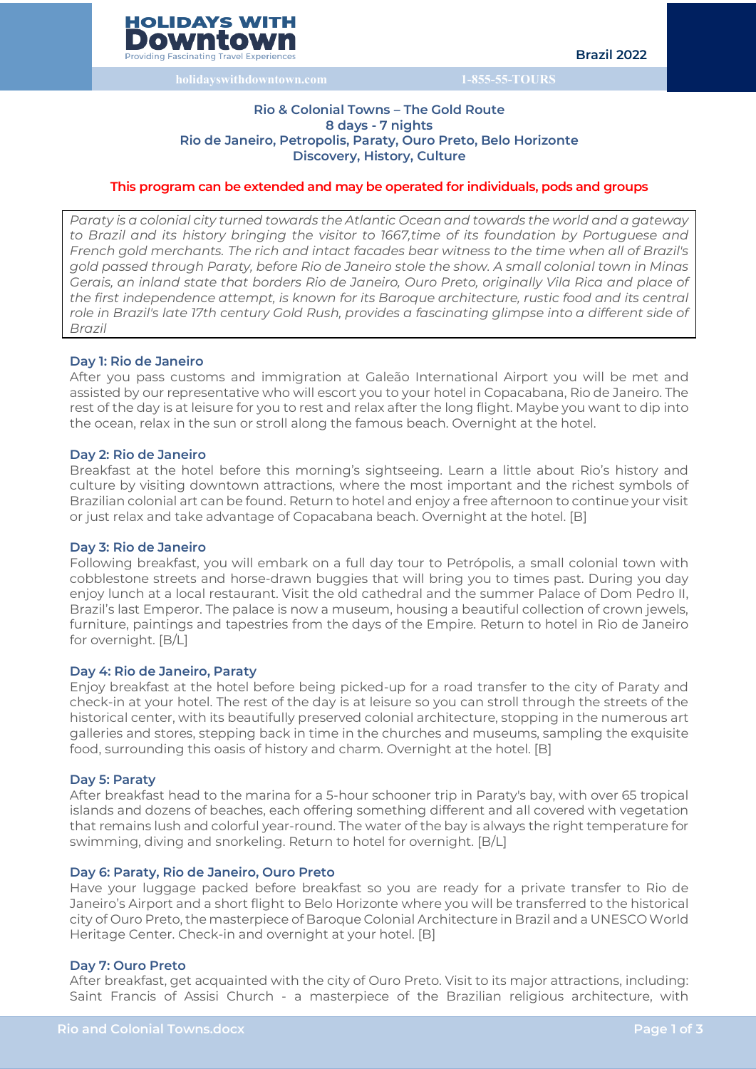

# **Rio & Colonial Towns – The Gold Route 8 days - 7 nights Rio de Janeiro, Petropolis, Paraty, Ouro Preto, Belo Horizonte Discovery, History, Culture**

# **This program can be extended and may be operated for individuals, pods and groups**

*Paraty is a colonial city turned towards the Atlantic Ocean and towards the world and a gateway to Brazil and its history bringing the visitor to 1667,time of its foundation by Portuguese and French gold merchants. The rich and intact facades bear witness to the time when all of Brazil's gold passed through Paraty, before Rio de Janeiro stole the show. A small colonial town in Minas Gerais, an inland state that borders Rio de Janeiro, Ouro Preto, originally Vila Rica and place of the first independence attempt, is known for its Baroque architecture, rustic food and its central role in Brazil's late 17th century Gold Rush, provides a fascinating glimpse into a different side of Brazil*

# **Day 1: Rio de Janeiro**

After you pass customs and immigration at Galeão International Airport you will be met and assisted by our representative who will escort you to your hotel in Copacabana, Rio de Janeiro. The rest of the day is at leisure for you to rest and relax after the long flight. Maybe you want to dip into the ocean, relax in the sun or stroll along the famous beach. Overnight at the hotel.

# **Day 2: Rio de Janeiro**

Breakfast at the hotel before this morning's sightseeing. Learn a little about Rio's history and culture by visiting downtown attractions, where the most important and the richest symbols of Brazilian colonial art can be found. Return to hotel and enjoy a free afternoon to continue your visit or just relax and take advantage of Copacabana beach. Overnight at the hotel. [B]

#### **Day 3: Rio de Janeiro**

Following breakfast, you will embark on a full day tour to Petrópolis, a small colonial town with cobblestone streets and horse-drawn buggies that will bring you to times past. During you day enjoy lunch at a local restaurant. Visit the old cathedral and the summer Palace of Dom Pedro II, Brazil's last Emperor. The palace is now a museum, housing a beautiful collection of crown jewels, furniture, paintings and tapestries from the days of the Empire. Return to hotel in Rio de Janeiro for overnight. [B/L]

# **Day 4: Rio de Janeiro, Paraty**

Enjoy breakfast at the hotel before being picked-up for a road transfer to the city of Paraty and check-in at your hotel. The rest of the day is at leisure so you can stroll through the streets of the historical center, with its beautifully preserved colonial architecture, stopping in the numerous art galleries and stores, stepping back in time in the churches and museums, sampling the exquisite food, surrounding this oasis of history and charm. Overnight at the hotel. [B]

#### **Day 5: Paraty**

After breakfast head to the marina for a 5-hour schooner trip in Paraty's bay, with over 65 tropical islands and dozens of beaches, each offering something different and all covered with vegetation that remains lush and colorful year-round. The water of the bay is always the right temperature for swimming, diving and snorkeling. Return to hotel for overnight. [B/L]

# **Day 6: Paraty, Rio de Janeiro, Ouro Preto**

Have your luggage packed before breakfast so you are ready for a private transfer to Rio de Janeiro's Airport and a short flight to Belo Horizonte where you will be transferred to the historical city of Ouro Preto, the masterpiece of Baroque Colonial Architecture in Brazil and a UNESCOWorld Heritage Center. Check-in and overnight at your hotel. [B]

## **Day 7: Ouro Preto**

After breakfast, get acquainted with the city of Ouro Preto. Visit to its major attractions, including: Saint Francis of Assisi Church - a masterpiece of the Brazilian religious architecture, with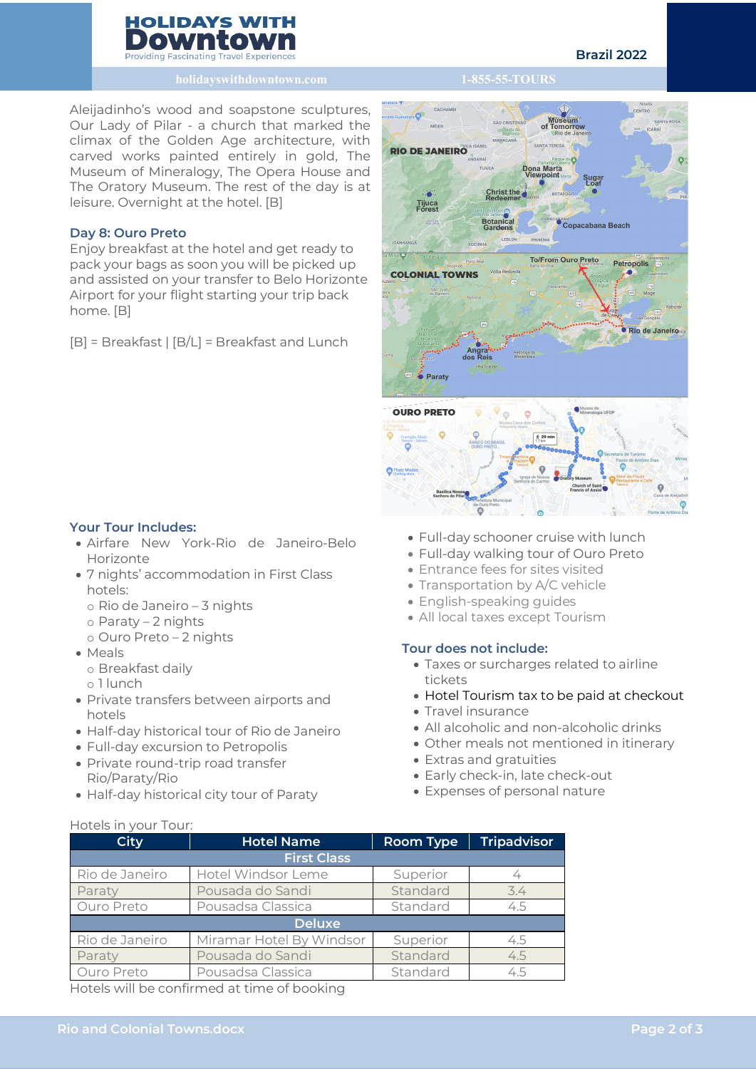

Aleijadinho's wood and soapstone sculptures, Our Lady of Pilar - a church that marked the climax of the Golden Age architecture, with carved works painted entirely in gold, The Museum of Mineralogy, The Opera House and The Oratory Museum. The rest of the day is at leisure. Overnight at the hotel. [B]

# **Day 8: Ouro Preto**

Enjoy breakfast at the hotel and get ready to pack your bags as soon you will be picked up and assisted on your transfer to Belo Horizonte Airport for your flight starting your trip back home. [B]

[B] = Breakfast | [B/L] = Breakfast and Lunch

# **Your Tour Includes:**

- Airfare New York-Rio de Janeiro-Belo Horizonte
- 7 nights' accommodation in First Class hotels:
	- o Rio de Janeiro 3 nights
	- o Paraty 2 nights
	- o Ouro Preto 2 nights
- Meals
	- o Breakfast daily

Hotels in your Tour:

- o 1 lunch
- Private transfers between airports and hotels
- Half-day historical tour of Rio de Janeiro
- Full-day excursion to Petropolis
- Private round-trip road transfer Rio/Paraty/Rio
- Half-day historical city tour of Paraty
- Full-day schooner cruise with lunch
- Full-day walking tour of Ouro Preto
- Entrance fees for sites visited
- Transportation by A/C vehicle
- English-speaking guides
- All local taxes except Tourism

# **Tour does not include:**

- Taxes or surcharges related to airline tickets
- Hotel Tourism tax to be paid at checkout
- Travel insurance
- All alcoholic and non-alcoholic drinks
- Other meals not mentioned in itinerary
- Extras and gratuities
- Early check-in, late check-out
- Expenses of personal nature

| <b>City</b>        | <b>Hotel Name</b>        | <b>Room Type</b> | <b>Tripadvisor</b> |  |  |  |  |  |
|--------------------|--------------------------|------------------|--------------------|--|--|--|--|--|
| <b>First Class</b> |                          |                  |                    |  |  |  |  |  |
| Rio de Janeiro     | Hotel Windsor Leme       | Superior         |                    |  |  |  |  |  |
| Paraty             | Pousada do Sandi         | Standard         | 3.4                |  |  |  |  |  |
| Ouro Preto         | Pousadsa Classica        | Standard         | 4.5                |  |  |  |  |  |
| <b>Deluxe</b>      |                          |                  |                    |  |  |  |  |  |
| Rio de Janeiro     | Miramar Hotel By Windsor | Superior         | 4.5                |  |  |  |  |  |
| Paraty             | Pousada do Sandi         | Standard         | 4.5                |  |  |  |  |  |
| Ouro Preto         | Pousadsa Classica        |                  | 45                 |  |  |  |  |  |

Hotels will be confirmed at time of booking

# **Yunner Ameri RIO DE JANEIRO** Christ th Tijuca asana<br>Copacabana Beach To/From Ouro Preto Petropolis **COLONIAL TOWNS** Rio de Janeiro Paraty **OURO PRETO**  $*$  29 min **O** Thaty M